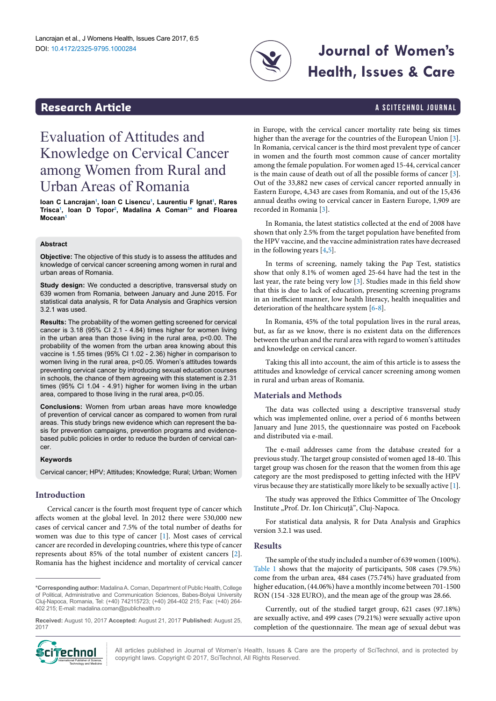

# **Journal of Women's Health, Issues & Care**

### <span id="page-0-1"></span>**Research Article a Scittering Control in the Scittering Article 3 and Scittering Article 3 and Scittering Article**

## Evaluation of Attitudes and Knowledge on Cervical Cancer among Women from Rural and Urban Areas of Romania

**Ioan C Lancraja[n1](#page-2-0) , Ioan C Lisencu[1](#page-2-0) , Laurentiu F Ignat[1](#page-2-0) , Rares Trisc[a1](#page-2-0) , Ioan D Topo[r2](#page-2-1) , Madalina A Coma[n3](#page-2-2) [\\*](#page-0-0) and Floarea Mocean[1](#page-2-0)**

#### **Abstract**

**Objective:** The objective of this study is to assess the attitudes and knowledge of cervical cancer screening among women in rural and urban areas of Romania.

**Study design:** We conducted a descriptive, transversal study on 639 women from Romania, between January and June 2015. For statistical data analysis, R for Data Analysis and Graphics version 3.2.1 was used.

**Results:** The probability of the women getting screened for cervical cancer is 3.18 (95% CI 2.1 - 4.84) times higher for women living in the urban area than those living in the rural area, p<0.00. The probability of the women from the urban area knowing about this vaccine is 1.55 times (95% CI 1.02 - 2.36) higher in comparison to women living in the rural area, p<0.05. Women's attitudes towards preventing cervical cancer by introducing sexual education courses in schools, the chance of them agreeing with this statement is 2.31 times (95% CI 1.04 - 4.91) higher for women living in the urban area, compared to those living in the rural area, p<0.05.

**Conclusions:** Women from urban areas have more knowledge of prevention of cervical cancer as compared to women from rural areas. This study brings new evidence which can represent the basis for prevention campaigns, prevention programs and evidencebased public policies in order to reduce the burden of cervical cancer.

#### **Keywords**

Cervical cancer; HPV; Attitudes; Knowledge; Rural; Urban; Women

#### **Introduction**

Cervical cancer is the fourth most frequent type of cancer which affects women at the global level. In 2012 there were 530,000 new cases of cervical cancer and 7.5% of the total number of deaths for women was due to this type of cancer [[1](#page-2-3)]. Most cases of cervical cancer are recorded in developing countries, where this type of cancer represents about 85% of the total number of existent cancers [\[2](#page-2-4)]. Romania has the highest incidence and mortality of cervical cancer

**Received:** August 10, 2017 **Accepted:** August 21, 2017 **Published:** August 25, 2017



in Europe, with the cervical cancer mortality rate being six times higher than the average for the countries of the European Union [\[3\]](#page-2-5). In Romania, cervical cancer is the third most prevalent type of cancer in women and the fourth most common cause of cancer mortality among the female population. For women aged 15-44, cervical cancer is the main cause of death out of all the possible forms of cancer [\[3\]](#page-2-5). Out of the 33,882 new cases of cervical cancer reported annually in Eastern Europe, 4,343 are cases from Romania, and out of the 15,436 annual deaths owing to cervical cancer in Eastern Europe, 1,909 are recorded in Romania [\[3\]](#page-2-5).

In Romania, the latest statistics collected at the end of 2008 have shown that only 2.5% from the target population have benefited from the HPV vaccine, and the vaccine administration rates have decreased in the following years [\[4,](#page-2-6)[5](#page-2-7)].

In terms of screening, namely taking the Pap Test, statistics show that only 8.1% of women aged 25-64 have had the test in the last year, the rate being very low [[3](#page-2-5)]. Studies made in this field show that this is due to lack of education, presenting screening programs in an inefficient manner, low health literacy, health inequalities and deterioration of the healthcare system [\[6](#page-2-8)-[8\]](#page-2-9).

In Romania, 45% of the total population lives in the rural areas, but, as far as we know, there is no existent data on the differences between the urban and the rural area with regard to women's attitudes and knowledge on cervical cancer.

Taking this all into account, the aim of this article is to assess the attitudes and knowledge of cervical cancer screening among women in rural and urban areas of Romania.

#### **Materials and Methods**

The data was collected using a descriptive transversal study which was implemented online, over a period of 6 months between January and June 2015, the questionnaire was posted on Facebook and distributed via e-mail.

The e-mail addresses came from the database created for a previous study. The target group consisted of women aged 18-40. This target group was chosen for the reason that the women from this age category are the most predisposed to getting infected with the HPV virus because they are statistically more likely to be sexually active [\[1\]](#page-2-3).

The study was approved the Ethics Committee of The Oncology Institute "Prof. Dr. Ion Chiricuță", Cluj-Napoca.

For statistical data analysis, R for Data Analysis and Graphics version 3.2.1 was used.

#### **Results**

The sample of the study included a number of 639 women (100%). [Table 1](#page-1-0) shows that the majority of participants, 508 cases (79.5%) come from the urban area, 484 cases (75.74%) have graduated from higher education, (44.06%) have a monthly income between 701-1500 RON (154 -328 EURO), and the mean age of the group was 28.66.

Currently, out of the studied target group, 621 cases (97.18%) are sexually active, and 499 cases (79.21%) were sexually active upon completion of the questionnaire. The mean age of sexual debut was

All articles published in Journal of Women's Health, Issues & Care are the property of SciTechnol, and is protected by copyright laws. Copyright © 2017, SciTechnol, All Rights Reserved.

<span id="page-0-0"></span>**<sup>\*</sup>Corresponding author:** Madalina A. Coman, Department of Public Health, College of Political, Administrative and Communication Sciences, Babes-Bolyai University Cluj-Napoca, Romania, Tel: (+40) 742115723; (+40) 264-402 215; Fax: (+40) 264- 402 215; E-mail: madalina.coman@publichealth.ro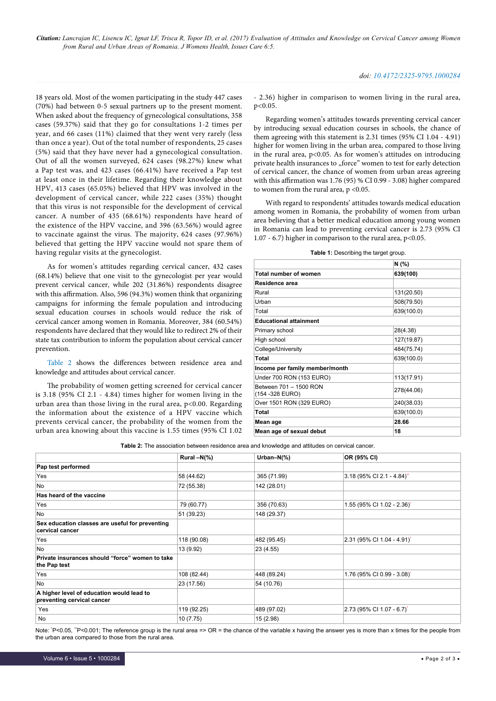*Citation: Lancrajan IC, Lisencu IC, Ignat LF, Trisca R, Topor ID, et al. (2017) Evaluation of Attitudes and Knowledge on Cervical Cancer among Women from Rural and Urban Areas of Romania. J Womens Health, Issues Care 6:5.*

18 years old. Most of the women participating in the study 447 cases (70%) had between 0-5 sexual partners up to the present moment. When asked about the frequency of gynecological consultations, 358 cases (59.37%) said that they go for consultations 1-2 times per year, and 66 cases (11%) claimed that they went very rarely (less than once a year). Out of the total number of respondents, 25 cases (5%) said that they have never had a gynecological consultation. Out of all the women surveyed, 624 cases (98.27%) knew what a Pap test was, and 423 cases (66.41%) have received a Pap test at least once in their lifetime. Regarding their knowledge about HPV, 413 cases (65.05%) believed that HPV was involved in the development of cervical cancer, while 222 cases (35%) thought that this virus is not responsible for the development of cervical cancer. A number of 435 (68.61%) respondents have heard of the existence of the HPV vaccine, and 396 (63.56%) would agree to vaccinate against the virus. The majority, 624 cases (97.96%) believed that getting the HPV vaccine would not spare them of having regular visits at the gynecologist.

As for women's attitudes regarding cervical cancer, 432 cases (68.14%) believe that one visit to the gynecologist per year would prevent cervical cancer, while 202 (31.86%) respondents disagree with this affirmation. Also, 596 (94.3%) women think that organizing campaigns for informing the female population and introducing sexual education courses in schools would reduce the risk of cervical cancer among women in Romania. Moreover, 384 (60.54%) respondents have declared that they would like to redirect 2% of their state tax contribution to inform the population about cervical cancer prevention.

[Table 2](#page-1-1) shows the differences between residence area and knowledge and attitudes about cervical cancer.

The probability of women getting screened for cervical cancer is 3.18 (95% CI 2.1 - 4.84) times higher for women living in the urban area than those living in the rural area, p<0.00. Regarding the information about the existence of a HPV vaccine which prevents cervical cancer, the probability of the women from the urban area knowing about this vaccine is 1.55 times (95% CI 1.02

- 2.36) higher in comparison to women living in the rural area, p<0.05.

Regarding women's attitudes towards preventing cervical cancer by introducing sexual education courses in schools, the chance of them agreeing with this statement is 2.31 times (95% CI 1.04 - 4.91) higher for women living in the urban area, compared to those living in the rural area,  $p<0.05$ . As for women's attitudes on introducing private health insurances to "force" women to test for early detection of cervical cancer, the chance of women from urban areas agreeing with this affirmation was 1.76 (95) % CI 0.99 - 3.08) higher compared to women from the rural area,  $p < 0.05$ .

With regard to respondents' attitudes towards medical education among women in Romania, the probability of women from urban area believing that a better medical education among young women in Romania can lead to preventing cervical cancer is 2.73 (95% CI 1.07 - 6.7) higher in comparison to the rural area, p<0.05.

<span id="page-1-0"></span>**Table 1:** Describing the target group.

|                                            | N (%)      |  |
|--------------------------------------------|------------|--|
| Total number of women                      | 639(100)   |  |
| Residence area                             |            |  |
| Rural                                      | 131(20.50) |  |
| Urban                                      | 508(79.50) |  |
| Total                                      | 639(100.0) |  |
| <b>Educational attainment</b>              |            |  |
| Primary school                             | 28(4.38)   |  |
| High school                                | 127(19.87) |  |
| College/University                         | 484(75.74) |  |
| Total                                      | 639(100.0) |  |
| Income per family member/month             |            |  |
| Under 700 RON (153 EURO)                   | 113(17.91) |  |
| Between 701 - 1500 RON<br>(154 - 328 EURO) | 278(44.06) |  |
| Over 1501 RON (329 EURO)                   | 240(38.03) |  |
| Total                                      | 639(100.0) |  |
| Mean age                                   | 28.66      |  |
| Mean age of sexual debut                   | 18         |  |

<span id="page-1-1"></span>**Table 2:** The association between residence area and knowledge and attitudes on cervical cancer.

|                                                                         | Rural $-N$ (%) | Urban- $N(\%)$ | OR (95% CI)                                   |
|-------------------------------------------------------------------------|----------------|----------------|-----------------------------------------------|
| Pap test performed                                                      |                |                |                                               |
| Yes                                                                     | 58 (44.62)     | 365 (71.99)    | $3.18$ (95% CI 2.1 - 4.84)"                   |
| No                                                                      | 72 (55.38)     | 142 (28.01)    |                                               |
| Has heard of the vaccine                                                |                |                |                                               |
| Yes                                                                     | 79 (60.77)     | 356 (70.63)    | 1.55 (95% CI 1.02 - 2.36)*                    |
| <b>No</b>                                                               | 51 (39.23)     | 148 (29.37)    |                                               |
| Sex education classes are useful for preventing<br>cervical cancer      |                |                |                                               |
| Yes                                                                     | 118 (90.08)    | 482 (95.45)    | 2.31 (95% CI 1.04 - 4.91)'                    |
| <b>No</b>                                                               | 13 (9.92)      | 23 (4.55)      |                                               |
| Private insurances should "force" women to take<br>the Pap test         |                |                |                                               |
| Yes                                                                     | 108 (82.44)    | 448 (89.24)    | 1.76 (95% CI 0.99 - 3.08)*                    |
| No                                                                      | 23 (17.56)     | 54 (10.76)     |                                               |
| A higher level of education would lead to<br>preventing cervical cancer |                |                |                                               |
| Yes                                                                     | 119 (92.25)    | 489 (97.02)    | $2.73(95\% \text{ CI} 1.07 - 6.7)^{\text{T}}$ |
| No                                                                      | 10 (7.75)      | 15 (2.98)      |                                               |

Note: 'P<0.05, "P<0.001; The reference group is the rural area => OR = the chance of the variable x having the answer yes is more than x times for the people from the urban area compared to those from the rural area.